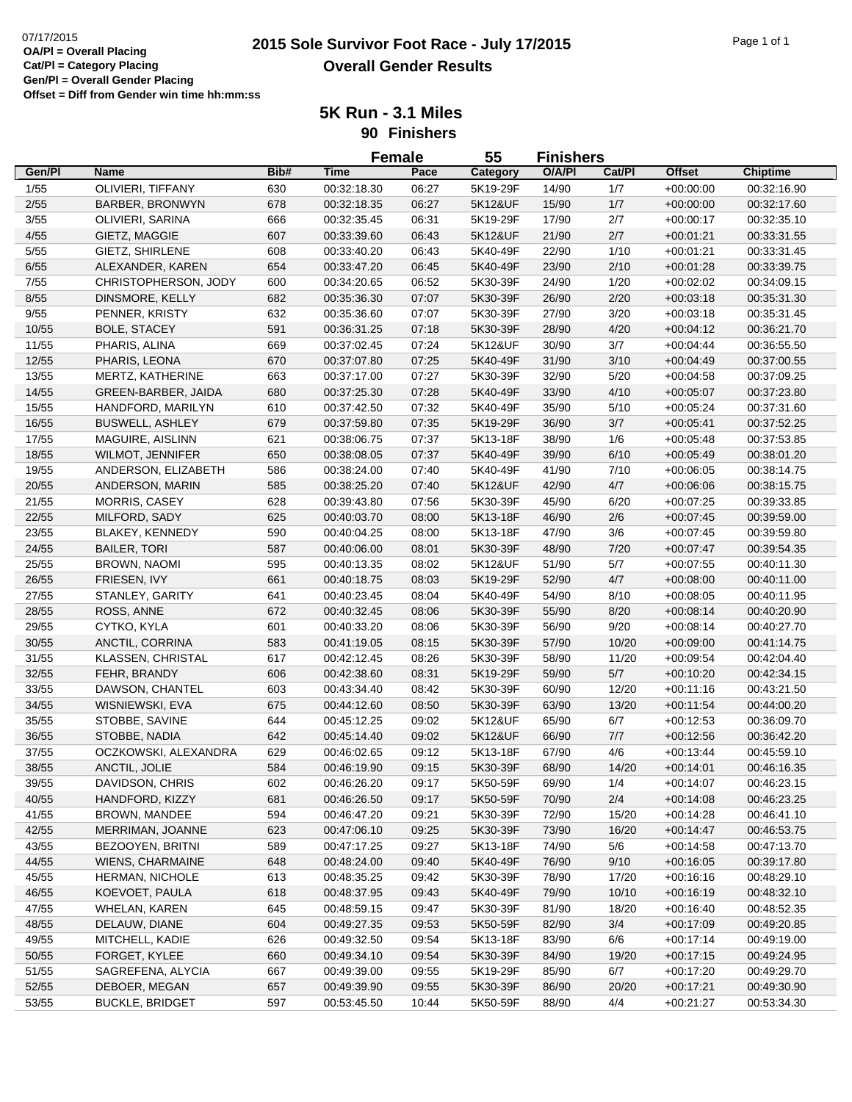## **2015 Sole Survivor Foot Race - July 17/2015** 07/17/2015 Page 1 of 1 **Overall Gender Results**

**5K Run - 3.1 Miles 90 Finishers**

|        |                          |      | <b>Female</b> |       | 55       | <b>Finishers</b> |        |               |                 |
|--------|--------------------------|------|---------------|-------|----------|------------------|--------|---------------|-----------------|
| Gen/Pl | Name                     | Bib# | <b>Time</b>   | Pace  | Category | O/A/PI           | Cat/PI | <b>Offset</b> | <b>Chiptime</b> |
| 1/55   | OLIVIERI, TIFFANY        | 630  | 00:32:18.30   | 06:27 | 5K19-29F | 14/90            | 1/7    | $+00:00:00$   | 00:32:16.90     |
| 2/55   | BARBER, BRONWYN          | 678  | 00:32:18.35   | 06:27 | 5K12&UF  | 15/90            | 1/7    | $+00:00:00$   | 00:32:17.60     |
| 3/55   | OLIVIERI, SARINA         | 666  | 00:32:35.45   | 06:31 | 5K19-29F | 17/90            | 2/7    | $+00:00:17$   | 00:32:35.10     |
| 4/55   | GIETZ, MAGGIE            | 607  | 00:33:39.60   | 06:43 | 5K12&UF  | 21/90            | 2/7    | $+00:01:21$   | 00:33:31.55     |
| 5/55   | GIETZ, SHIRLENE          | 608  | 00:33:40.20   | 06:43 | 5K40-49F | 22/90            | 1/10   | $+00.01:21$   | 00:33:31.45     |
| 6/55   | ALEXANDER, KAREN         | 654  | 00:33:47.20   | 06:45 | 5K40-49F | 23/90            | 2/10   | $+00:01:28$   | 00:33:39.75     |
| 7/55   | CHRISTOPHERSON, JODY     | 600  | 00:34:20.65   | 06:52 | 5K30-39F | 24/90            | 1/20   | $+00:02:02$   | 00:34:09.15     |
| 8/55   | DINSMORE, KELLY          | 682  | 00:35:36.30   | 07:07 | 5K30-39F | 26/90            | 2/20   | $+00:03:18$   | 00:35:31.30     |
| 9/55   | PENNER, KRISTY           | 632  | 00:35:36.60   | 07:07 | 5K30-39F | 27/90            | 3/20   | $+00:03:18$   | 00:35:31.45     |
| 10/55  | <b>BOLE, STACEY</b>      | 591  | 00:36:31.25   | 07:18 | 5K30-39F | 28/90            | 4/20   | $+00:04:12$   | 00:36:21.70     |
| 11/55  | PHARIS, ALINA            | 669  | 00:37:02.45   | 07:24 | 5K12&UF  | 30/90            | 3/7    | $+00:04:44$   | 00:36:55.50     |
| 12/55  | PHARIS, LEONA            | 670  | 00:37:07.80   | 07:25 | 5K40-49F | 31/90            | 3/10   | $+00:04:49$   | 00:37:00.55     |
| 13/55  | MERTZ, KATHERINE         | 663  | 00:37:17.00   | 07:27 | 5K30-39F | 32/90            | 5/20   | $+00:04:58$   | 00:37:09.25     |
| 14/55  | GREEN-BARBER, JAIDA      | 680  | 00:37:25.30   | 07:28 | 5K40-49F | 33/90            | 4/10   | $+00:05:07$   | 00:37:23.80     |
| 15/55  | HANDFORD, MARILYN        | 610  | 00:37:42.50   | 07:32 | 5K40-49F | 35/90            | 5/10   | $+00:05:24$   | 00:37:31.60     |
| 16/55  | <b>BUSWELL, ASHLEY</b>   | 679  | 00:37:59.80   | 07:35 | 5K19-29F | 36/90            | $3/7$  | $+00:05:41$   | 00:37:52.25     |
| 17/55  | MAGUIRE, AISLINN         | 621  | 00:38:06.75   | 07:37 | 5K13-18F | 38/90            | 1/6    | $+00:05:48$   | 00:37:53.85     |
| 18/55  | <b>WILMOT, JENNIFER</b>  | 650  | 00:38:08.05   | 07:37 | 5K40-49F | 39/90            | 6/10   | $+00:05:49$   | 00:38:01.20     |
| 19/55  | ANDERSON, ELIZABETH      | 586  | 00:38:24.00   | 07:40 | 5K40-49F | 41/90            | 7/10   | $+00:06:05$   | 00:38:14.75     |
| 20/55  | ANDERSON, MARIN          | 585  | 00:38:25.20   | 07:40 | 5K12&UF  | 42/90            | 4/7    | $+00:06:06$   | 00:38:15.75     |
| 21/55  | <b>MORRIS, CASEY</b>     | 628  | 00:39:43.80   | 07:56 | 5K30-39F | 45/90            | 6/20   | $+00:07:25$   | 00:39:33.85     |
| 22/55  | MILFORD, SADY            | 625  | 00:40:03.70   | 08:00 | 5K13-18F | 46/90            | 2/6    | $+00:07:45$   | 00:39:59.00     |
|        | BLAKEY, KENNEDY          |      |               |       |          |                  |        |               |                 |
| 23/55  |                          | 590  | 00:40:04.25   | 08:00 | 5K13-18F | 47/90            | 3/6    | $+00:07:45$   | 00:39:59.80     |
| 24/55  | <b>BAILER, TORI</b>      | 587  | 00:40:06.00   | 08:01 | 5K30-39F | 48/90            | 7/20   | $+00:07:47$   | 00:39:54.35     |
| 25/55  | <b>BROWN, NAOMI</b>      | 595  | 00:40:13.35   | 08:02 | 5K12&UF  | 51/90            | $5/7$  | $+00:07:55$   | 00:40:11.30     |
| 26/55  | FRIESEN, IVY             | 661  | 00:40:18.75   | 08:03 | 5K19-29F | 52/90            | 4/7    | $+00:08:00$   | 00:40:11.00     |
| 27/55  | STANLEY, GARITY          | 641  | 00:40:23.45   | 08:04 | 5K40-49F | 54/90            | 8/10   | $+00:08:05$   | 00:40:11.95     |
| 28/55  | ROSS, ANNE               | 672  | 00:40:32.45   | 08:06 | 5K30-39F | 55/90            | 8/20   | $+00:08:14$   | 00:40:20.90     |
| 29/55  | CYTKO, KYLA              | 601  | 00:40:33.20   | 08:06 | 5K30-39F | 56/90            | 9/20   | $+00:08:14$   | 00:40:27.70     |
| 30/55  | ANCTIL, CORRINA          | 583  | 00:41:19.05   | 08:15 | 5K30-39F | 57/90            | 10/20  | $+00:09:00$   | 00:41:14.75     |
| 31/55  | <b>KLASSEN, CHRISTAL</b> | 617  | 00:42:12.45   | 08:26 | 5K30-39F | 58/90            | 11/20  | $+00:09:54$   | 00:42:04.40     |
| 32/55  | FEHR, BRANDY             | 606  | 00:42:38.60   | 08:31 | 5K19-29F | 59/90            | $5/7$  | $+00:10:20$   | 00:42:34.15     |
| 33/55  | DAWSON, CHANTEL          | 603  | 00:43:34.40   | 08:42 | 5K30-39F | 60/90            | 12/20  | $+00:11:16$   | 00:43:21.50     |
| 34/55  | WISNIEWSKI, EVA          | 675  | 00:44:12.60   | 08:50 | 5K30-39F | 63/90            | 13/20  | $+00:11:54$   | 00:44:00.20     |
| 35/55  | STOBBE, SAVINE           | 644  | 00:45:12.25   | 09:02 | 5K12&UF  | 65/90            | 6/7    | $+00:12:53$   | 00:36:09.70     |
| 36/55  | STOBBE, NADIA            | 642  | 00:45:14.40   | 09:02 | 5K12&UF  | 66/90            | $7/7$  | $+00:12:56$   | 00:36:42.20     |
| 37/55  | OCZKOWSKI, ALEXANDRA     | 629  | 00:46:02.65   | 09:12 | 5K13-18F | 67/90            | 4/6    | $+00:13:44$   | 00:45:59.10     |
| 38/55  | ANCTIL, JOLIE            | 584  | 00:46:19.90   | 09:15 | 5K30-39F | 68/90            | 14/20  | $+00:14:01$   | 00:46:16.35     |
| 39/55  | DAVIDSON, CHRIS          | 602  | 00:46:26.20   | 09:17 | 5K50-59F | 69/90            | 1/4    | $+00:14:07$   | 00:46:23.15     |
| 40/55  | HANDFORD, KIZZY          | 681  | 00:46:26.50   | 09:17 | 5K50-59F | 70/90            | $2/4$  | $+00:14:08$   | 00:46:23.25     |
| 41/55  | <b>BROWN, MANDEE</b>     | 594  | 00:46:47.20   | 09:21 | 5K30-39F | 72/90            | 15/20  | $+00:14:28$   | 00:46:41.10     |
| 42/55  | MERRIMAN, JOANNE         | 623  | 00:47:06.10   | 09:25 | 5K30-39F | 73/90            | 16/20  | $+00:14:47$   | 00:46:53.75     |
| 43/55  | BEZOOYEN, BRITNI         | 589  | 00:47:17.25   | 09:27 | 5K13-18F | 74/90            | 5/6    | $+00:14:58$   | 00:47:13.70     |
| 44/55  | <b>WIENS, CHARMAINE</b>  | 648  | 00:48:24.00   | 09:40 | 5K40-49F | 76/90            | 9/10   | $+00:16:05$   | 00:39:17.80     |
| 45/55  | HERMAN, NICHOLE          | 613  | 00:48:35.25   | 09:42 | 5K30-39F | 78/90            | 17/20  | $+00:16:16$   | 00:48:29.10     |
| 46/55  | KOEVOET, PAULA           | 618  | 00:48:37.95   | 09:43 | 5K40-49F | 79/90            | 10/10  | $+00:16:19$   | 00:48:32.10     |
| 47/55  | <b>WHELAN, KAREN</b>     | 645  | 00:48:59.15   | 09:47 | 5K30-39F | 81/90            | 18/20  | $+00:16:40$   | 00:48:52.35     |
| 48/55  | DELAUW, DIANE            | 604  | 00:49:27.35   | 09:53 | 5K50-59F | 82/90            | 3/4    | $+00:17:09$   | 00:49:20.85     |
| 49/55  | MITCHELL, KADIE          | 626  | 00:49:32.50   | 09:54 | 5K13-18F | 83/90            | 6/6    | $+00:17:14$   | 00:49:19.00     |
| 50/55  | FORGET, KYLEE            | 660  | 00:49:34.10   | 09:54 | 5K30-39F | 84/90            | 19/20  | $+00:17:15$   | 00:49:24.95     |
| 51/55  | SAGREFENA, ALYCIA        | 667  | 00:49:39.00   | 09:55 | 5K19-29F | 85/90            | 6/7    | $+00:17:20$   | 00:49:29.70     |
| 52/55  | DEBOER, MEGAN            | 657  | 00:49:39.90   | 09:55 | 5K30-39F | 86/90            | 20/20  | $+00:17:21$   | 00:49:30.90     |
| 53/55  | <b>BUCKLE, BRIDGET</b>   | 597  | 00:53:45.50   | 10:44 | 5K50-59F | 88/90            | 4/4    | $+00:21:27$   | 00:53:34.30     |